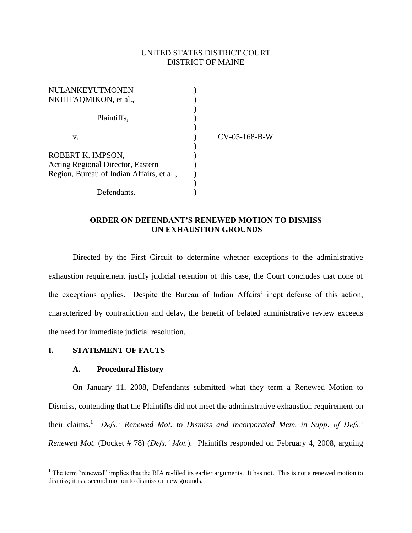## UNITED STATES DISTRICT COURT DISTRICT OF MAINE

| NULANKEYUTMONEN                           |               |
|-------------------------------------------|---------------|
| NKIHTAQMIKON, et al.,                     |               |
|                                           |               |
| Plaintiffs,                               |               |
|                                           |               |
| V.                                        | CV-05-168-B-W |
|                                           |               |
| ROBERT K. IMPSON,                         |               |
| Acting Regional Director, Eastern         |               |
| Region, Bureau of Indian Affairs, et al., |               |
|                                           |               |
| Defendants.                               |               |

## **ORDER ON DEFENDANT'S RENEWED MOTION TO DISMISS ON EXHAUSTION GROUNDS**

Directed by the First Circuit to determine whether exceptions to the administrative exhaustion requirement justify judicial retention of this case, the Court concludes that none of the exceptions applies. Despite the Bureau of Indian Affairs" inept defense of this action, characterized by contradiction and delay, the benefit of belated administrative review exceeds the need for immediate judicial resolution.

### **I. STATEMENT OF FACTS**

 $\overline{a}$ 

### **A. Procedural History**

On January 11, 2008, Defendants submitted what they term a Renewed Motion to Dismiss, contending that the Plaintiffs did not meet the administrative exhaustion requirement on their claims. 1 *Defs.' Renewed Mot. to Dismiss and Incorporated Mem. in Supp. of Defs.' Renewed Mot.* (Docket # 78) (*Defs.' Mot.*). Plaintiffs responded on February 4, 2008, arguing

 $1$  The term "renewed" implies that the BIA re-filed its earlier arguments. It has not. This is not a renewed motion to dismiss; it is a second motion to dismiss on new grounds.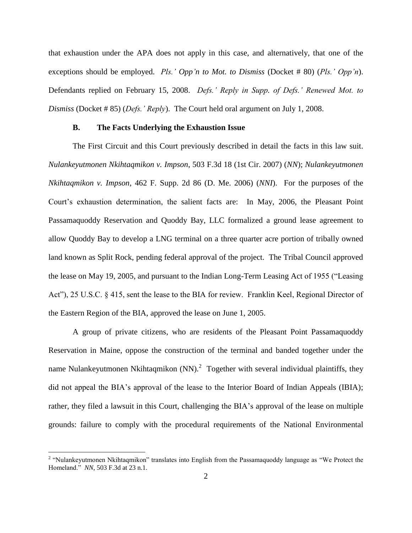that exhaustion under the APA does not apply in this case, and alternatively, that one of the exceptions should be employed. *Pls.' Opp'n to Mot. to Dismiss* (Docket # 80) (*Pls.' Opp'n*). Defendants replied on February 15, 2008. *Defs.' Reply in Supp. of Defs.' Renewed Mot. to Dismiss* (Docket # 85) (*Defs.' Reply*). The Court held oral argument on July 1, 2008.

#### **B. The Facts Underlying the Exhaustion Issue**

The First Circuit and this Court previously described in detail the facts in this law suit. *Nulankeyutmonen Nkihtaqmikon v. Impson*, 503 F.3d 18 (1st Cir. 2007) (*NN*); *Nulankeyutmonen Nkihtaqmikon v. Impson*, 462 F. Supp. 2d 86 (D. Me. 2006) (*NNI*). For the purposes of the Court"s exhaustion determination, the salient facts are: In May, 2006, the Pleasant Point Passamaquoddy Reservation and Quoddy Bay, LLC formalized a ground lease agreement to allow Quoddy Bay to develop a LNG terminal on a three quarter acre portion of tribally owned land known as Split Rock, pending federal approval of the project. The Tribal Council approved the lease on May 19, 2005, and pursuant to the Indian Long-Term Leasing Act of 1955 ("Leasing Act"), 25 U.S.C. § 415, sent the lease to the BIA for review. Franklin Keel, Regional Director of the Eastern Region of the BIA, approved the lease on June 1, 2005.

A group of private citizens, who are residents of the Pleasant Point Passamaquoddy Reservation in Maine, oppose the construction of the terminal and banded together under the name Nulankeyutmonen Nkihtaqmikon (NN).<sup>2</sup> Together with several individual plaintiffs, they did not appeal the BIA"s approval of the lease to the Interior Board of Indian Appeals (IBIA); rather, they filed a lawsuit in this Court, challenging the BIA"s approval of the lease on multiple grounds: failure to comply with the procedural requirements of the National Environmental

<sup>&</sup>lt;sup>2</sup> "Nulankeyutmonen Nkihtaqmikon" translates into English from the Passamaquoddy language as "We Protect the Homeland." *NN*, 503 F.3d at 23 n.1.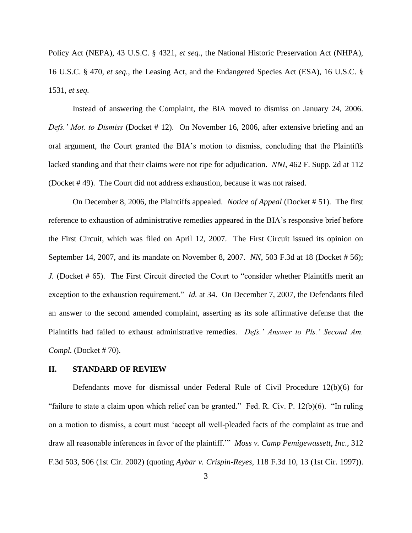Policy Act (NEPA), 43 U.S.C. § 4321, *et seq.*, the National Historic Preservation Act (NHPA), 16 U.S.C. § 470, *et seq.*, the Leasing Act, and the Endangered Species Act (ESA), 16 U.S.C. § 1531, *et seq.*

Instead of answering the Complaint, the BIA moved to dismiss on January 24, 2006. *Defs.' Mot. to Dismiss* (Docket # 12). On November 16, 2006, after extensive briefing and an oral argument, the Court granted the BIA"s motion to dismiss, concluding that the Plaintiffs lacked standing and that their claims were not ripe for adjudication. *NNI*, 462 F. Supp. 2d at 112 (Docket # 49). The Court did not address exhaustion, because it was not raised.

On December 8, 2006, the Plaintiffs appealed. *Notice of Appeal* (Docket # 51). The first reference to exhaustion of administrative remedies appeared in the BIA"s responsive brief before the First Circuit, which was filed on April 12, 2007. The First Circuit issued its opinion on September 14, 2007, and its mandate on November 8, 2007. *NN*, 503 F.3d at 18 (Docket # 56); *J.* (Docket # 65). The First Circuit directed the Court to "consider whether Plaintiffs merit an exception to the exhaustion requirement." *Id.* at 34. On December 7, 2007, the Defendants filed an answer to the second amended complaint, asserting as its sole affirmative defense that the Plaintiffs had failed to exhaust administrative remedies. *Defs.' Answer to Pls.' Second Am. Compl.* (Docket # 70).

### **II. STANDARD OF REVIEW**

Defendants move for dismissal under Federal Rule of Civil Procedure 12(b)(6) for "failure to state a claim upon which relief can be granted." Fed. R. Civ. P. 12(b)(6). "In ruling on a motion to dismiss, a court must "accept all well-pleaded facts of the complaint as true and draw all reasonable inferences in favor of the plaintiff."" *Moss v. Camp Pemigewassett, Inc.,* 312 F.3d 503, 506 (1st Cir. 2002) (quoting *Aybar v. Crispin-Reyes,* 118 F.3d 10, 13 (1st Cir. 1997)).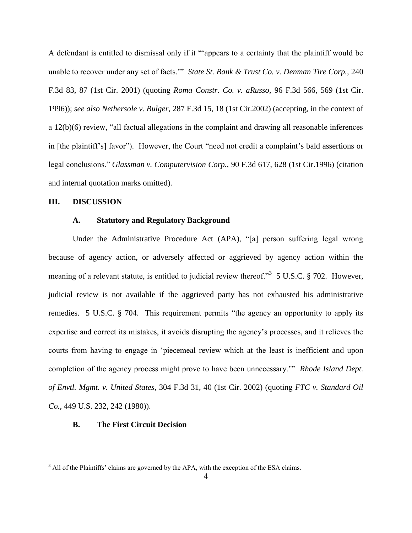A defendant is entitled to dismissal only if it ""appears to a certainty that the plaintiff would be unable to recover under any set of facts."" *State St. Bank & Trust Co. v. Denman Tire Corp.,* 240 F.3d 83, 87 (1st Cir. 2001) (quoting *Roma Constr. Co. v. aRusso,* 96 F.3d 566, 569 (1st Cir. 1996)); *see also Nethersole v. Bulger,* 287 F.3d 15, 18 (1st Cir.2002) (accepting, in the context of a 12(b)(6) review, "all factual allegations in the complaint and drawing all reasonable inferences in [the plaintiff"s] favor"). However, the Court "need not credit a complaint"s bald assertions or legal conclusions." *Glassman v. Computervision Corp.,* 90 F.3d 617, 628 (1st Cir.1996) (citation and internal quotation marks omitted).

## **III. DISCUSSION**

 $\overline{a}$ 

### **A. Statutory and Regulatory Background**

Under the Administrative Procedure Act (APA), "[a] person suffering legal wrong because of agency action, or adversely affected or aggrieved by agency action within the meaning of a relevant statute, is entitled to judicial review thereof.<sup>33</sup> 5 U.S.C. § 702. However, judicial review is not available if the aggrieved party has not exhausted his administrative remedies. 5 U.S.C. § 704. This requirement permits "the agency an opportunity to apply its expertise and correct its mistakes, it avoids disrupting the agency"s processes, and it relieves the courts from having to engage in "piecemeal review which at the least is inefficient and upon completion of the agency process might prove to have been unnecessary."" *Rhode Island Dept. of Envtl. Mgmt. v. United States*, 304 F.3d 31, 40 (1st Cir. 2002) (quoting *FTC v. Standard Oil Co.,* 449 U.S. 232, 242 (1980)).

#### **B. The First Circuit Decision**

 $3$  All of the Plaintiffs' claims are governed by the APA, with the exception of the ESA claims.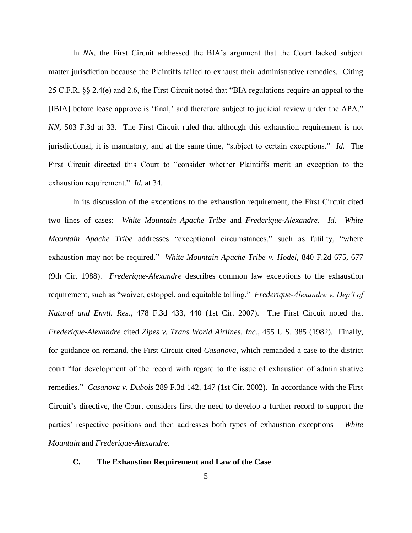In *NN*, the First Circuit addressed the BIA's argument that the Court lacked subject matter jurisdiction because the Plaintiffs failed to exhaust their administrative remedies. Citing 25 C.F.R. §§ 2.4(e) and 2.6, the First Circuit noted that "BIA regulations require an appeal to the [IBIA] before lease approve is "final," and therefore subject to judicial review under the APA." *NN*, 503 F.3d at 33. The First Circuit ruled that although this exhaustion requirement is not jurisdictional, it is mandatory, and at the same time, "subject to certain exceptions." *Id.* The First Circuit directed this Court to "consider whether Plaintiffs merit an exception to the exhaustion requirement." *Id.* at 34.

In its discussion of the exceptions to the exhaustion requirement, the First Circuit cited two lines of cases: *White Mountain Apache Tribe* and *Frederique-Alexandre. Id. White Mountain Apache Tribe* addresses "exceptional circumstances," such as futility, "where exhaustion may not be required." *White Mountain Apache Tribe v. Hodel*, 840 F.2d 675, 677 (9th Cir. 1988). *Frederique-Alexandre* describes common law exceptions to the exhaustion requirement, such as "waiver, estoppel, and equitable tolling." *Frederique-Alexandre v. Dep't of Natural and Envtl. Res.*, 478 F.3d 433, 440 (1st Cir. 2007). The First Circuit noted that *Frederique-Alexandre* cited *Zipes v. Trans World Airlines, Inc.*, 455 U.S. 385 (1982).Finally, for guidance on remand, the First Circuit cited *Casanova*, which remanded a case to the district court "for development of the record with regard to the issue of exhaustion of administrative remedies." *Casanova v. Dubois* 289 F.3d 142, 147 (1st Cir. 2002). In accordance with the First Circuit"s directive, the Court considers first the need to develop a further record to support the parties' respective positions and then addresses both types of exhaustion exceptions – *White Mountain* and *Frederique-Alexandre*.

### **C. The Exhaustion Requirement and Law of the Case**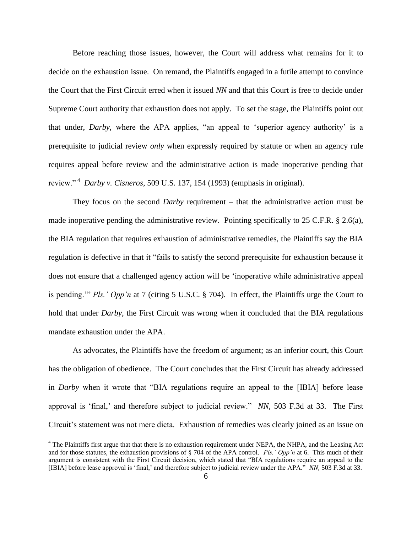Before reaching those issues, however, the Court will address what remains for it to decide on the exhaustion issue. On remand, the Plaintiffs engaged in a futile attempt to convince the Court that the First Circuit erred when it issued *NN* and that this Court is free to decide under Supreme Court authority that exhaustion does not apply. To set the stage, the Plaintiffs point out that under, *Darby*, where the APA applies, "an appeal to "superior agency authority" is a prerequisite to judicial review *only* when expressly required by statute or when an agency rule requires appeal before review and the administrative action is made inoperative pending that review." <sup>4</sup> *Darby v. Cisneros*, 509 U.S. 137, 154 (1993) (emphasis in original).

They focus on the second *Darby* requirement – that the administrative action must be made inoperative pending the administrative review. Pointing specifically to 25 C.F.R. § 2.6(a), the BIA regulation that requires exhaustion of administrative remedies, the Plaintiffs say the BIA regulation is defective in that it "fails to satisfy the second prerequisite for exhaustion because it does not ensure that a challenged agency action will be "inoperative while administrative appeal is pending."" *Pls.' Opp'n* at 7 (citing 5 U.S.C. § 704). In effect, the Plaintiffs urge the Court to hold that under *Darby*, the First Circuit was wrong when it concluded that the BIA regulations mandate exhaustion under the APA.

As advocates, the Plaintiffs have the freedom of argument; as an inferior court, this Court has the obligation of obedience. The Court concludes that the First Circuit has already addressed in *Darby* when it wrote that "BIA regulations require an appeal to the [IBIA] before lease approval is "final," and therefore subject to judicial review." *NN*, 503 F.3d at 33. The First Circuit's statement was not mere dicta. Exhaustion of remedies was clearly joined as an issue on

 $\overline{a}$ 

<sup>&</sup>lt;sup>4</sup> The Plaintiffs first argue that that there is no exhaustion requirement under NEPA, the NHPA, and the Leasing Act and for those statutes, the exhaustion provisions of § 704 of the APA control. *Pls.' Opp'n* at 6. This much of their argument is consistent with the First Circuit decision, which stated that "BIA regulations require an appeal to the [IBIA] before lease approval is "final," and therefore subject to judicial review under the APA." *NN*, 503 F.3d at 33.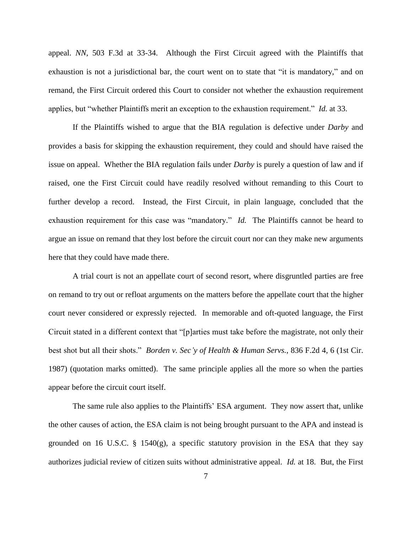appeal. *NN*, 503 F.3d at 33-34. Although the First Circuit agreed with the Plaintiffs that exhaustion is not a jurisdictional bar, the court went on to state that "it is mandatory," and on remand, the First Circuit ordered this Court to consider not whether the exhaustion requirement applies, but "whether Plaintiffs merit an exception to the exhaustion requirement." *Id.* at 33.

If the Plaintiffs wished to argue that the BIA regulation is defective under *Darby* and provides a basis for skipping the exhaustion requirement, they could and should have raised the issue on appeal. Whether the BIA regulation fails under *Darby* is purely a question of law and if raised, one the First Circuit could have readily resolved without remanding to this Court to further develop a record. Instead, the First Circuit, in plain language, concluded that the exhaustion requirement for this case was "mandatory." *Id.* The Plaintiffs cannot be heard to argue an issue on remand that they lost before the circuit court nor can they make new arguments here that they could have made there.

A trial court is not an appellate court of second resort, where disgruntled parties are free on remand to try out or refloat arguments on the matters before the appellate court that the higher court never considered or expressly rejected. In memorable and oft-quoted language, the First Circuit stated in a different context that "[p]arties must take before the magistrate, not only their best shot but all their shots." *Borden v. Sec'y of Health & Human Servs.*, 836 F.2d 4, 6 (1st Cir. 1987) (quotation marks omitted). The same principle applies all the more so when the parties appear before the circuit court itself.

The same rule also applies to the Plaintiffs' ESA argument. They now assert that, unlike the other causes of action, the ESA claim is not being brought pursuant to the APA and instead is grounded on 16 U.S.C.  $\S$  1540(g), a specific statutory provision in the ESA that they say authorizes judicial review of citizen suits without administrative appeal. *Id.* at 18. But, the First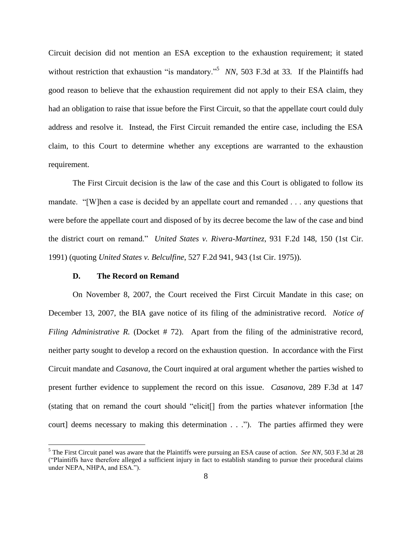Circuit decision did not mention an ESA exception to the exhaustion requirement; it stated without restriction that exhaustion "is mandatory."<sup>5</sup> NN, 503 F.3d at 33. If the Plaintiffs had good reason to believe that the exhaustion requirement did not apply to their ESA claim, they had an obligation to raise that issue before the First Circuit, so that the appellate court could duly address and resolve it. Instead, the First Circuit remanded the entire case, including the ESA claim, to this Court to determine whether any exceptions are warranted to the exhaustion requirement.

The First Circuit decision is the law of the case and this Court is obligated to follow its mandate. "[W]hen a case is decided by an appellate court and remanded . . . any questions that were before the appellate court and disposed of by its decree become the law of the case and bind the district court on remand." *United States v. Rivera-Martinez*, 931 F.2d 148, 150 (1st Cir. 1991) (quoting *United States v. Belculfine*, 527 F.2d 941, 943 (1st Cir. 1975)).

#### **D. The Record on Remand**

 $\overline{a}$ 

On November 8, 2007, the Court received the First Circuit Mandate in this case; on December 13, 2007, the BIA gave notice of its filing of the administrative record. *Notice of Filing Administrative R.* (Docket # 72). Apart from the filing of the administrative record, neither party sought to develop a record on the exhaustion question. In accordance with the First Circuit mandate and *Casanova*, the Court inquired at oral argument whether the parties wished to present further evidence to supplement the record on this issue. *Casanova*, 289 F.3d at 147 (stating that on remand the court should "elicit[] from the parties whatever information [the court] deems necessary to making this determination . . ."). The parties affirmed they were

<sup>5</sup> The First Circuit panel was aware that the Plaintiffs were pursuing an ESA cause of action. *See NN*, 503 F.3d at 28 ("Plaintiffs have therefore alleged a sufficient injury in fact to establish standing to pursue their procedural claims under NEPA, NHPA, and ESA.").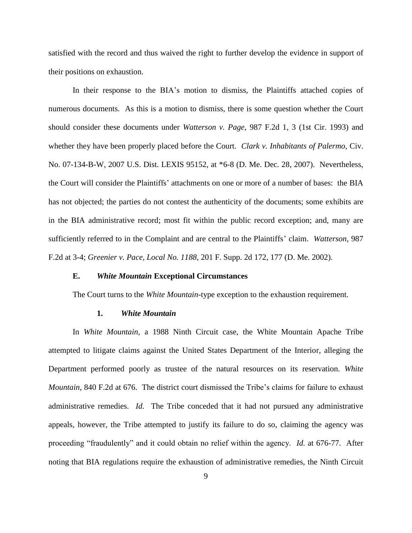satisfied with the record and thus waived the right to further develop the evidence in support of their positions on exhaustion.

In their response to the BIA"s motion to dismiss, the Plaintiffs attached copies of numerous documents. As this is a motion to dismiss, there is some question whether the Court should consider these documents under *Watterson v. Page*, 987 F.2d 1, 3 (1st Cir. 1993) and whether they have been properly placed before the Court. *Clark v. Inhabitants of Palermo*, Civ. No. 07-134-B-W, 2007 U.S. Dist. LEXIS 95152, at \*6-8 (D. Me. Dec. 28, 2007). Nevertheless, the Court will consider the Plaintiffs" attachments on one or more of a number of bases: the BIA has not objected; the parties do not contest the authenticity of the documents; some exhibits are in the BIA administrative record; most fit within the public record exception; and, many are sufficiently referred to in the Complaint and are central to the Plaintiffs" claim. *Watterson*, 987 F.2d at 3-4; *Greenier v. Pace, Local No. 1188*, 201 F. Supp. 2d 172, 177 (D. Me. 2002).

#### **E.** *White Mountain* **Exceptional Circumstances**

The Court turns to the *White Mountain*-type exception to the exhaustion requirement.

#### **1.** *White Mountain*

In *White Mountain*, a 1988 Ninth Circuit case, the White Mountain Apache Tribe attempted to litigate claims against the United States Department of the Interior, alleging the Department performed poorly as trustee of the natural resources on its reservation. *White Mountain*, 840 F.2d at 676. The district court dismissed the Tribe"s claims for failure to exhaust administrative remedies. *Id.* The Tribe conceded that it had not pursued any administrative appeals, however, the Tribe attempted to justify its failure to do so, claiming the agency was proceeding "fraudulently" and it could obtain no relief within the agency. *Id.* at 676-77. After noting that BIA regulations require the exhaustion of administrative remedies, the Ninth Circuit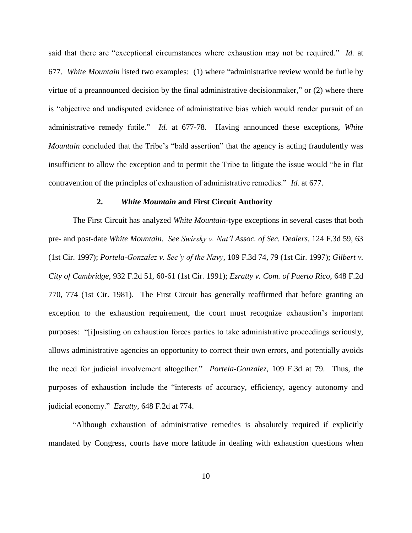said that there are "exceptional circumstances where exhaustion may not be required." *Id.* at 677. *White Mountain* listed two examples: (1) where "administrative review would be futile by virtue of a preannounced decision by the final administrative decisionmaker," or (2) where there is "objective and undisputed evidence of administrative bias which would render pursuit of an administrative remedy futile." *Id.* at 677-78. Having announced these exceptions, *White Mountain* concluded that the Tribe's "bald assertion" that the agency is acting fraudulently was insufficient to allow the exception and to permit the Tribe to litigate the issue would "be in flat contravention of the principles of exhaustion of administrative remedies." *Id.* at 677.

#### **2.** *White Mountain* **and First Circuit Authority**

The First Circuit has analyzed *White Mountain*-type exceptions in several cases that both pre- and post-date *White Mountain*. *See Swirsky v. Nat'l Assoc. of Sec. Dealers*, 124 F.3d 59, 63 (1st Cir. 1997); *Portela-Gonzalez v. Sec'y of the Navy*, 109 F.3d 74, 79 (1st Cir. 1997); *Gilbert v. City of Cambridge*, 932 F.2d 51, 60-61 (1st Cir. 1991); *Ezratty v. Com. of Puerto Rico*, 648 F.2d 770, 774 (1st Cir. 1981). The First Circuit has generally reaffirmed that before granting an exception to the exhaustion requirement, the court must recognize exhaustion"s important purposes: "[i]nsisting on exhaustion forces parties to take administrative proceedings seriously, allows administrative agencies an opportunity to correct their own errors, and potentially avoids the need for judicial involvement altogether." *Portela-Gonzalez*, 109 F.3d at 79. Thus, the purposes of exhaustion include the "interests of accuracy, efficiency, agency autonomy and judicial economy." *Ezratty*, 648 F.2d at 774.

"Although exhaustion of administrative remedies is absolutely required if explicitly mandated by Congress, courts have more latitude in dealing with exhaustion questions when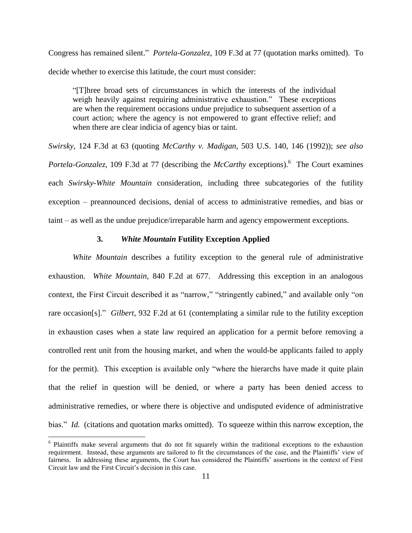Congress has remained silent." *Portela-Gonzalez*, 109 F.3d at 77 (quotation marks omitted). To decide whether to exercise this latitude, the court must consider:

"[T]hree broad sets of circumstances in which the interests of the individual weigh heavily against requiring administrative exhaustion." These exceptions are when the requirement occasions undue prejudice to subsequent assertion of a court action; where the agency is not empowered to grant effective relief; and when there are clear indicia of agency bias or taint.

*Swirsky*, 124 F.3d at 63 (quoting *McCarthy v. Madigan*, 503 U.S. 140, 146 (1992)); *see also* Portela-Gonzalez, 109 F.3d at 77 (describing the *McCarthy* exceptions).<sup>6</sup> The Court examines each *Swirsky-White Mountain* consideration, including three subcategories of the futility exception – preannounced decisions, denial of access to administrative remedies, and bias or taint – as well as the undue prejudice/irreparable harm and agency empowerment exceptions.

#### **3.** *White Mountain* **Futility Exception Applied**

*White Mountain* describes a futility exception to the general rule of administrative exhaustion. *White Mountain*, 840 F.2d at 677. Addressing this exception in an analogous context, the First Circuit described it as "narrow," "stringently cabined," and available only "on rare occasion[s]." *Gilbert*, 932 F.2d at 61 (contemplating a similar rule to the futility exception in exhaustion cases when a state law required an application for a permit before removing a controlled rent unit from the housing market, and when the would-be applicants failed to apply for the permit). This exception is available only "where the hierarchs have made it quite plain that the relief in question will be denied, or where a party has been denied access to administrative remedies, or where there is objective and undisputed evidence of administrative bias." *Id.* (citations and quotation marks omitted). To squeeze within this narrow exception, the

 $\overline{a}$ 

<sup>&</sup>lt;sup>6</sup> Plaintiffs make several arguments that do not fit squarely within the traditional exceptions to the exhaustion requirement. Instead, these arguments are tailored to fit the circumstances of the case, and the Plaintiffs" view of fairness. In addressing these arguments, the Court has considered the Plaintiffs" assertions in the context of First Circuit law and the First Circuit's decision in this case.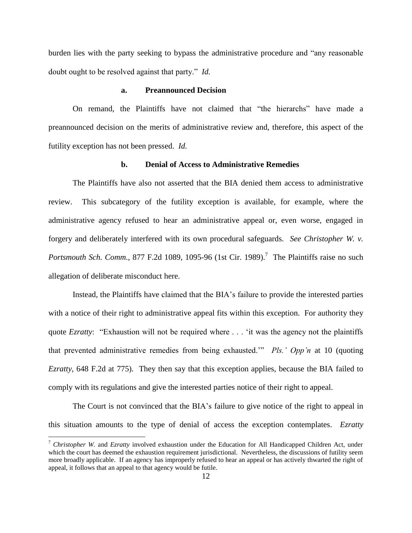burden lies with the party seeking to bypass the administrative procedure and "any reasonable doubt ought to be resolved against that party." *Id.* 

#### **a. Preannounced Decision**

On remand, the Plaintiffs have not claimed that "the hierarchs" have made a preannounced decision on the merits of administrative review and, therefore, this aspect of the futility exception has not been pressed. *Id.*

#### **b. Denial of Access to Administrative Remedies**

The Plaintiffs have also not asserted that the BIA denied them access to administrative review. This subcategory of the futility exception is available, for example, where the administrative agency refused to hear an administrative appeal or, even worse, engaged in forgery and deliberately interfered with its own procedural safeguards. *See Christopher W. v. Portsmouth Sch. Comm.*, 877 F.2d 1089, 1095-96 (1st Cir. 1989).<sup>7</sup> The Plaintiffs raise no such allegation of deliberate misconduct here.

Instead, the Plaintiffs have claimed that the BIA"s failure to provide the interested parties with a notice of their right to administrative appeal fits within this exception. For authority they quote *Ezratty*: "Exhaustion will not be required where . . . 'it was the agency not the plaintiffs that prevented administrative remedies from being exhausted."" *Pls.' Opp'n* at 10 (quoting *Ezratty*, 648 F.2d at 775). They then say that this exception applies, because the BIA failed to comply with its regulations and give the interested parties notice of their right to appeal.

The Court is not convinced that the BIA's failure to give notice of the right to appeal in this situation amounts to the type of denial of access the exception contemplates. *Ezratty* 

 $\overline{a}$ 

<sup>7</sup> *Christopher W.* and *Ezratty* involved exhaustion under the Education for All Handicapped Children Act, under which the court has deemed the exhaustion requirement jurisdictional. Nevertheless, the discussions of futility seem more broadly applicable. If an agency has improperly refused to hear an appeal or has actively thwarted the right of appeal, it follows that an appeal to that agency would be futile.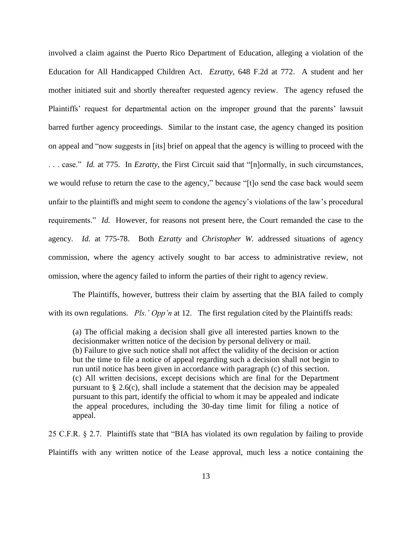involved a claim against the Puerto Rico Department of Education, alleging a violation of the Education for All Handicapped Children Act. *Ezratty*, 648 F.2d at 772. A student and her mother initiated suit and shortly thereafter requested agency review. The agency refused the Plaintiffs' request for departmental action on the improper ground that the parents' lawsuit barred further agency proceedings. Similar to the instant case, the agency changed its position on appeal and "now suggests in [its] brief on appeal that the agency is willing to proceed with the . . . case." *Id.* at 775. In *Ezratty*, the First Circuit said that "[n]ormally, in such circumstances, we would refuse to return the case to the agency," because "[t]o send the case back would seem unfair to the plaintiffs and might seem to condone the agency"s violations of the law"s procedural requirements." *Id.* However, for reasons not present here, the Court remanded the case to the agency. *Id.* at 775-78. Both *Ezratty* and *Christopher W.* addressed situations of agency commission, where the agency actively sought to bar access to administrative review, not omission, where the agency failed to inform the parties of their right to agency review.

The Plaintiffs, however, buttress their claim by asserting that the BIA failed to comply with its own regulations. *Pls.' Opp'n* at 12. The first regulation cited by the Plaintiffs reads:

(a) The official making a decision shall give all interested parties known to the decisionmaker written notice of the decision by personal delivery or mail. (b) Failure to give such notice shall not affect the validity of the decision or action but the time to file a notice of appeal regarding such a decision shall not begin to run until notice has been given in accordance with paragraph (c) of this section. (c) All written decisions, except decisions which are final for the Department pursuant to § 2.6(c), shall include a statement that the decision may be appealed pursuant to this part, identify the official to whom it may be appealed and indicate the appeal procedures, including the 30-day time limit for filing a notice of appeal.

25 C.F.R. § 2.7. Plaintiffs state that "BIA has violated its own regulation by failing to provide Plaintiffs with any written notice of the Lease approval, much less a notice containing the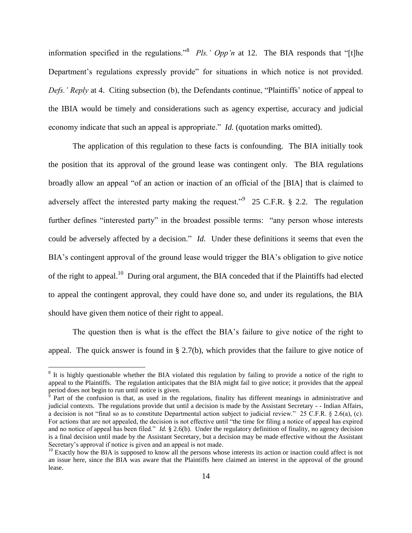information specified in the regulations.<sup>38</sup> Pls.' Opp'n at 12. The BIA responds that "[t]he Department's regulations expressly provide" for situations in which notice is not provided. *Defs.' Reply* at 4. Citing subsection (b), the Defendants continue, "Plaintiffs' notice of appeal to the IBIA would be timely and considerations such as agency expertise, accuracy and judicial economy indicate that such an appeal is appropriate." *Id.* (quotation marks omitted).

The application of this regulation to these facts is confounding. The BIA initially took the position that its approval of the ground lease was contingent only. The BIA regulations broadly allow an appeal "of an action or inaction of an official of the [BIA] that is claimed to adversely affect the interested party making the request.<sup>"9</sup> 25 C.F.R.  $\S$  2.2. The regulation further defines "interested party" in the broadest possible terms: "any person whose interests could be adversely affected by a decision." *Id.* Under these definitions it seems that even the BIA's contingent approval of the ground lease would trigger the BIA's obligation to give notice of the right to appeal.<sup>10</sup> During oral argument, the BIA conceded that if the Plaintiffs had elected to appeal the contingent approval, they could have done so, and under its regulations, the BIA should have given them notice of their right to appeal.

The question then is what is the effect the BIA"s failure to give notice of the right to appeal. The quick answer is found in § 2.7(b), which provides that the failure to give notice of

 $\overline{a}$ 

<sup>&</sup>lt;sup>8</sup> It is highly questionable whether the BIA violated this regulation by failing to provide a notice of the right to appeal to the Plaintiffs. The regulation anticipates that the BIA might fail to give notice; it provides that the appeal period does not begin to run until notice is given.

Part of the confusion is that, as used in the regulations, finality has different meanings in administrative and judicial contexts. The regulations provide that until a decision is made by the Assistant Secretary - - Indian Affairs, a decision is not "final so as to constitute Departmental action subject to judicial review." 25 C.F.R. § 2.6(a), (c). For actions that are not appealed, the decision is not effective until "the time for filing a notice of appeal has expired and no notice of appeal has been filed." *Id.* § 2.6(b). Under the regulatory definition of finality, no agency decision is a final decision until made by the Assistant Secretary, but a decision may be made effective without the Assistant Secretary's approval if notice is given and an appeal is not made.

 $10$  Exactly how the BIA is supposed to know all the persons whose interests its action or inaction could affect is not an issue here, since the BIA was aware that the Plaintiffs here claimed an interest in the approval of the ground lease.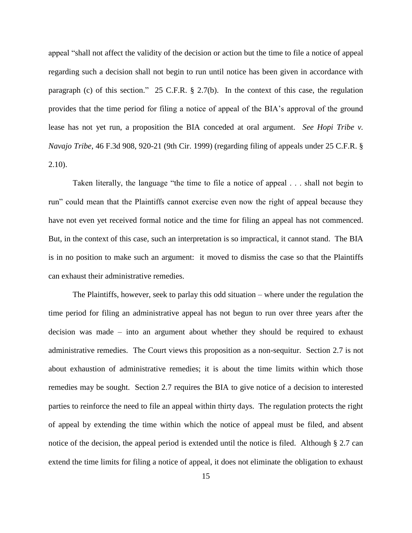appeal "shall not affect the validity of the decision or action but the time to file a notice of appeal regarding such a decision shall not begin to run until notice has been given in accordance with paragraph (c) of this section." 25 C.F.R. § 2.7(b). In the context of this case, the regulation provides that the time period for filing a notice of appeal of the BIA"s approval of the ground lease has not yet run, a proposition the BIA conceded at oral argument. *See Hopi Tribe v. Navajo Tribe*, 46 F.3d 908, 920-21 (9th Cir. 1999) (regarding filing of appeals under 25 C.F.R. § 2.10).

Taken literally, the language "the time to file a notice of appeal . . . shall not begin to run" could mean that the Plaintiffs cannot exercise even now the right of appeal because they have not even yet received formal notice and the time for filing an appeal has not commenced. But, in the context of this case, such an interpretation is so impractical, it cannot stand. The BIA is in no position to make such an argument: it moved to dismiss the case so that the Plaintiffs can exhaust their administrative remedies.

The Plaintiffs, however, seek to parlay this odd situation – where under the regulation the time period for filing an administrative appeal has not begun to run over three years after the decision was made – into an argument about whether they should be required to exhaust administrative remedies. The Court views this proposition as a non-sequitur. Section 2.7 is not about exhaustion of administrative remedies; it is about the time limits within which those remedies may be sought. Section 2.7 requires the BIA to give notice of a decision to interested parties to reinforce the need to file an appeal within thirty days. The regulation protects the right of appeal by extending the time within which the notice of appeal must be filed, and absent notice of the decision, the appeal period is extended until the notice is filed. Although § 2.7 can extend the time limits for filing a notice of appeal, it does not eliminate the obligation to exhaust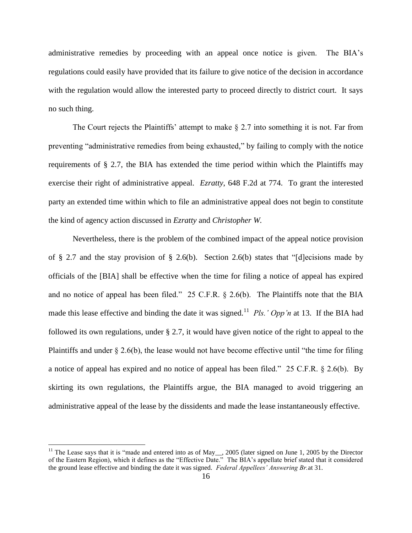administrative remedies by proceeding with an appeal once notice is given. The BIA"s regulations could easily have provided that its failure to give notice of the decision in accordance with the regulation would allow the interested party to proceed directly to district court. It says no such thing.

The Court rejects the Plaintiffs' attempt to make  $\S 2.7$  into something it is not. Far from preventing "administrative remedies from being exhausted," by failing to comply with the notice requirements of § 2.7, the BIA has extended the time period within which the Plaintiffs may exercise their right of administrative appeal. *Ezratty*, 648 F.2d at 774. To grant the interested party an extended time within which to file an administrative appeal does not begin to constitute the kind of agency action discussed in *Ezratty* and *Christopher W.* 

Nevertheless, there is the problem of the combined impact of the appeal notice provision of § 2.7 and the stay provision of § 2.6(b). Section 2.6(b) states that "[d]ecisions made by officials of the [BIA] shall be effective when the time for filing a notice of appeal has expired and no notice of appeal has been filed." 25 C.F.R. § 2.6(b). The Plaintiffs note that the BIA made this lease effective and binding the date it was signed.<sup>11</sup> Pls.' Opp'n at 13. If the BIA had followed its own regulations, under § 2.7, it would have given notice of the right to appeal to the Plaintiffs and under § 2.6(b), the lease would not have become effective until "the time for filing a notice of appeal has expired and no notice of appeal has been filed." 25 C.F.R. § 2.6(b). By skirting its own regulations, the Plaintiffs argue, the BIA managed to avoid triggering an administrative appeal of the lease by the dissidents and made the lease instantaneously effective.

 $\overline{a}$ 

<sup>&</sup>lt;sup>11</sup> The Lease says that it is "made and entered into as of May<sub>\_\_</sub>, 2005 (later signed on June 1, 2005 by the Director of the Eastern Region), which it defines as the "Effective Date." The BIA"s appellate brief stated that it considered the ground lease effective and binding the date it was signed. *Federal Appellees' Answering Br.*at 31.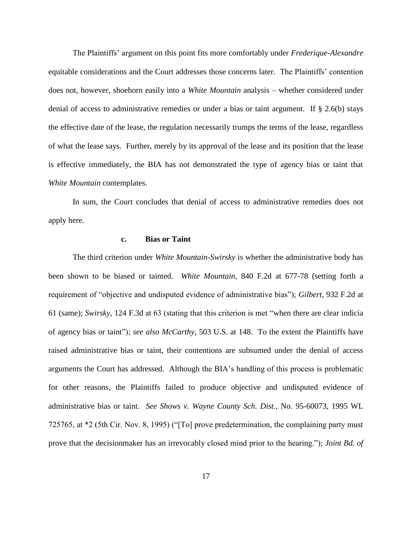The Plaintiffs" argument on this point fits more comfortably under *Frederique-Alexandre*  equitable considerations and the Court addresses those concerns later. The Plaintiffs" contention does not, however, shoehorn easily into a *White Mountain* analysis – whether considered under denial of access to administrative remedies or under a bias or taint argument. If  $\S$  2.6(b) stays the effective date of the lease, the regulation necessarily trumps the terms of the lease, regardless of what the lease says. Further, merely by its approval of the lease and its position that the lease is effective immediately, the BIA has not demonstrated the type of agency bias or taint that *White Mountain* contemplates.

In sum, the Court concludes that denial of access to administrative remedies does not apply here.

#### **c. Bias or Taint**

The third criterion under *White Mountain-Swirsky* is whether the administrative body has been shown to be biased or tainted. *White Mountain*, 840 F.2d at 677-78 (setting forth a requirement of "objective and undisputed evidence of administrative bias"); *Gilbert*, 932 F.2d at 61 (same); *Swirsky*, 124 F.3d at 63 (stating that this criterion is met "when there are clear indicia of agency bias or taint"); *see also McCarthy*, 503 U.S. at 148. To the extent the Plaintiffs have raised administrative bias or taint, their contentions are subsumed under the denial of access arguments the Court has addressed. Although the BIA"s handling of this process is problematic for other reasons, the Plaintiffs failed to produce objective and undisputed evidence of administrative bias or taint. *See Shows v. Wayne County Sch. Dist.*, No. 95-60073, 1995 WL 725765, at \*2 (5th Cir. Nov. 8, 1995) ("[To] prove predetermination, the complaining party must prove that the decisionmaker has an irrevocably closed mind prior to the hearing."); *Joint Bd. of*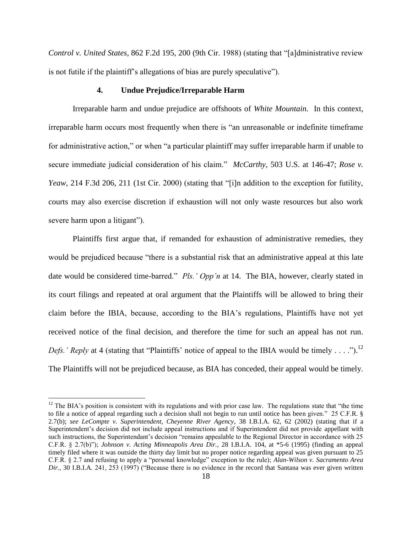*Control v. United States*, 862 F.2d 195, 200 (9th Cir. 1988) (stating that "[a]dministrative review is not futile if the plaintiff"s allegations of bias are purely speculative").

## **4. Undue Prejudice/Irreparable Harm**

Irreparable harm and undue prejudice are offshoots of *White Mountain.* In this context, irreparable harm occurs most frequently when there is "an unreasonable or indefinite timeframe for administrative action," or when "a particular plaintiff may suffer irreparable harm if unable to secure immediate judicial consideration of his claim." *McCarthy*, 503 U.S. at 146-47; *Rose v. Yeaw*, 214 F.3d 206, 211 (1st Cir. 2000) (stating that "[i]n addition to the exception for futility, courts may also exercise discretion if exhaustion will not only waste resources but also work severe harm upon a litigant").

Plaintiffs first argue that, if remanded for exhaustion of administrative remedies, they would be prejudiced because "there is a substantial risk that an administrative appeal at this late date would be considered time-barred." *Pls.' Opp'n* at 14. The BIA, however, clearly stated in its court filings and repeated at oral argument that the Plaintiffs will be allowed to bring their claim before the IBIA, because, according to the BIA"s regulations, Plaintiffs have not yet received notice of the final decision, and therefore the time for such an appeal has not run. *Defs.' Reply* at 4 (stating that "Plaintiffs' notice of appeal to the IBIA would be timely . . . .").<sup>12</sup> The Plaintiffs will not be prejudiced because, as BIA has conceded, their appeal would be timely.

 $\overline{a}$ 

 $12$  The BIA's position is consistent with its regulations and with prior case law. The regulations state that "the time" to file a notice of appeal regarding such a decision shall not begin to run until notice has been given." 25 C.F.R. § 2.7(b); *see LeCompte v. Superintendent, Cheyenne River Agency*, 38 I.B.I.A. 62, 62 (2002) (stating that if a Superintendent"s decision did not include appeal instructions and if Superintendent did not provide appellant with such instructions, the Superintendant's decision "remains appealable to the Regional Director in accordance with 25 C.F.R. § 2.7(b)"); *Johnson v. Acting Minneapolis Area Dir.*, 28 I.B.I.A. 104, at \*5-6 (1995) (finding an appeal timely filed where it was outside the thirty day limit but no proper notice regarding appeal was given pursuant to 25 C.F.R. § 2.7 and refusing to apply a "personal knowledge" exception to the rule); *Alan-Wilson v. Sacramento Area Dir.*, 30 I.B.I.A. 241, 253 (1997) ("Because there is no evidence in the record that Santana was ever given written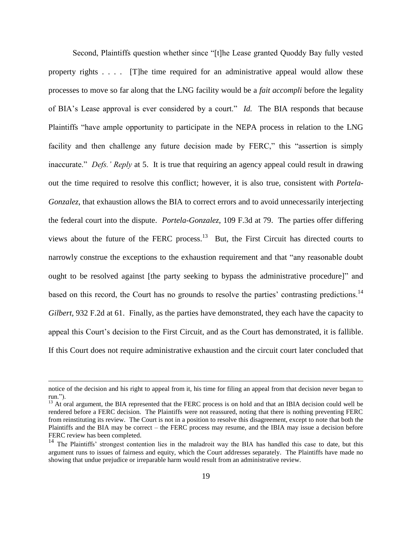Second, Plaintiffs question whether since "[t]he Lease granted Quoddy Bay fully vested property rights . . . . [T]he time required for an administrative appeal would allow these processes to move so far along that the LNG facility would be a *fait accompli* before the legality of BIA"s Lease approval is ever considered by a court." *Id.* The BIA responds that because Plaintiffs "have ample opportunity to participate in the NEPA process in relation to the LNG facility and then challenge any future decision made by FERC," this "assertion is simply inaccurate." *Defs.' Reply* at 5. It is true that requiring an agency appeal could result in drawing out the time required to resolve this conflict; however, it is also true, consistent with *Portela-Gonzalez*, that exhaustion allows the BIA to correct errors and to avoid unnecessarily interjecting the federal court into the dispute. *Portela-Gonzalez*, 109 F.3d at 79. The parties offer differing views about the future of the FERC process. $13$  But, the First Circuit has directed courts to narrowly construe the exceptions to the exhaustion requirement and that "any reasonable doubt ought to be resolved against [the party seeking to bypass the administrative procedure]" and based on this record, the Court has no grounds to resolve the parties' contrasting predictions.<sup>14</sup> *Gilbert*, 932 F.2d at 61. Finally, as the parties have demonstrated, they each have the capacity to appeal this Court's decision to the First Circuit, and as the Court has demonstrated, it is fallible. If this Court does not require administrative exhaustion and the circuit court later concluded that

 $\overline{a}$ 

notice of the decision and his right to appeal from it, his time for filing an appeal from that decision never began to run.").

 $13$  At oral argument, the BIA represented that the FERC process is on hold and that an IBIA decision could well be rendered before a FERC decision. The Plaintiffs were not reassured, noting that there is nothing preventing FERC from reinstituting its review. The Court is not in a position to resolve this disagreement, except to note that both the Plaintiffs and the BIA may be correct – the FERC process may resume, and the IBIA may issue a decision before FERC review has been completed.

<sup>&</sup>lt;sup>14</sup> The Plaintiffs' strongest contention lies in the maladroit way the BIA has handled this case to date, but this argument runs to issues of fairness and equity, which the Court addresses separately. The Plaintiffs have made no showing that undue prejudice or irreparable harm would result from an administrative review.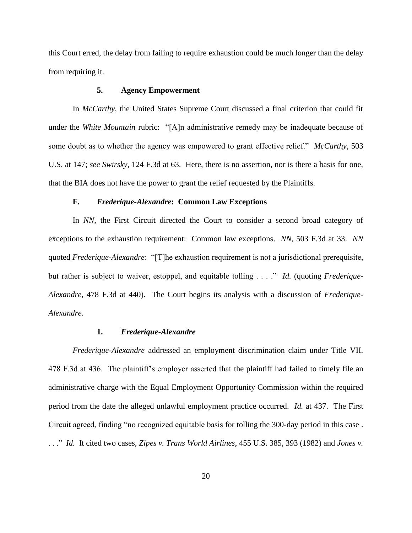this Court erred, the delay from failing to require exhaustion could be much longer than the delay from requiring it.

#### **5. Agency Empowerment**

In *McCarthy*, the United States Supreme Court discussed a final criterion that could fit under the *White Mountain* rubric: "[A]n administrative remedy may be inadequate because of some doubt as to whether the agency was empowered to grant effective relief." *McCarthy*, 503 U.S. at 147; *see Swirsky*, 124 F.3d at 63. Here, there is no assertion, nor is there a basis for one, that the BIA does not have the power to grant the relief requested by the Plaintiffs.

#### **F.** *Frederique-Alexandre***: Common Law Exceptions**

In *NN*, the First Circuit directed the Court to consider a second broad category of exceptions to the exhaustion requirement: Common law exceptions. *NN*, 503 F.3d at 33. *NN*  quoted *Frederique-Alexandre*: "[T]he exhaustion requirement is not a jurisdictional prerequisite, but rather is subject to waiver, estoppel, and equitable tolling . . . ." *Id.* (quoting *Frederique-Alexandre*, 478 F.3d at 440). The Court begins its analysis with a discussion of *Frederique-Alexandre.* 

#### **1.** *Frederique-Alexandre*

*Frederique-Alexandre* addressed an employment discrimination claim under Title VII. 478 F.3d at 436. The plaintiff"s employer asserted that the plaintiff had failed to timely file an administrative charge with the Equal Employment Opportunity Commission within the required period from the date the alleged unlawful employment practice occurred. *Id.* at 437. The First Circuit agreed, finding "no recognized equitable basis for tolling the 300-day period in this case . . . ." *Id.* It cited two cases, *Zipes v. Trans World Airlines*, 455 U.S. 385, 393 (1982) and *Jones v.*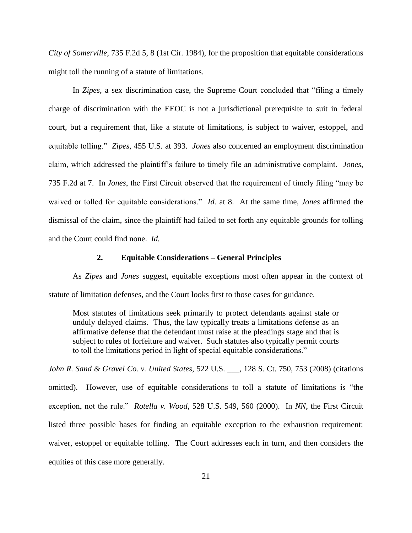*City of Somerville*, 735 F.2d 5, 8 (1st Cir. 1984), for the proposition that equitable considerations might toll the running of a statute of limitations.

In *Zipes*, a sex discrimination case, the Supreme Court concluded that "filing a timely charge of discrimination with the EEOC is not a jurisdictional prerequisite to suit in federal court, but a requirement that, like a statute of limitations, is subject to waiver, estoppel, and equitable tolling." *Zipes*, 455 U.S. at 393. *Jones* also concerned an employment discrimination claim, which addressed the plaintiff"s failure to timely file an administrative complaint. *Jones*, 735 F.2d at 7. In *Jones*, the First Circuit observed that the requirement of timely filing "may be waived or tolled for equitable considerations." *Id.* at 8. At the same time, *Jones* affirmed the dismissal of the claim, since the plaintiff had failed to set forth any equitable grounds for tolling and the Court could find none. *Id.* 

## **2. Equitable Considerations – General Principles**

As *Zipes* and *Jones* suggest, equitable exceptions most often appear in the context of statute of limitation defenses, and the Court looks first to those cases for guidance.

Most statutes of limitations seek primarily to protect defendants against stale or unduly delayed claims. Thus, the law typically treats a limitations defense as an affirmative defense that the defendant must raise at the pleadings stage and that is subject to rules of forfeiture and waiver. Such statutes also typically permit courts to toll the limitations period in light of special equitable considerations."

*John R. Sand & Gravel Co. v. United States*, 522 U.S. \_\_\_, 128 S. Ct. 750, 753 (2008) (citations omitted). However, use of equitable considerations to toll a statute of limitations is "the exception, not the rule." *Rotella v. Wood*, 528 U.S. 549, 560 (2000). In *NN*, the First Circuit listed three possible bases for finding an equitable exception to the exhaustion requirement: waiver, estoppel or equitable tolling. The Court addresses each in turn, and then considers the equities of this case more generally.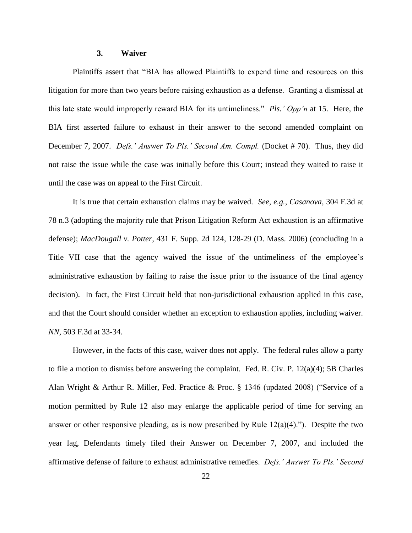#### **3. Waiver**

Plaintiffs assert that "BIA has allowed Plaintiffs to expend time and resources on this litigation for more than two years before raising exhaustion as a defense. Granting a dismissal at this late state would improperly reward BIA for its untimeliness." *Pls.' Opp'n* at 15. Here, the BIA first asserted failure to exhaust in their answer to the second amended complaint on December 7, 2007. *Defs.' Answer To Pls.' Second Am. Compl.* (Docket # 70). Thus, they did not raise the issue while the case was initially before this Court; instead they waited to raise it until the case was on appeal to the First Circuit.

It is true that certain exhaustion claims may be waived. *See, e.g.*, *Casanova*, 304 F.3d at 78 n.3 (adopting the majority rule that Prison Litigation Reform Act exhaustion is an affirmative defense); *MacDougall v. Potter*, 431 F. Supp. 2d 124, 128-29 (D. Mass. 2006) (concluding in a Title VII case that the agency waived the issue of the untimeliness of the employee"s administrative exhaustion by failing to raise the issue prior to the issuance of the final agency decision). In fact, the First Circuit held that non-jurisdictional exhaustion applied in this case, and that the Court should consider whether an exception to exhaustion applies, including waiver. *NN*, 503 F.3d at 33-34.

However, in the facts of this case, waiver does not apply. The federal rules allow a party to file a motion to dismiss before answering the complaint. Fed. R. Civ. P. 12(a)(4); 5B Charles Alan Wright & Arthur R. Miller, Fed. Practice & Proc. § 1346 (updated 2008) ("Service of a motion permitted by Rule 12 also may enlarge the applicable period of time for serving an answer or other responsive pleading, as is now prescribed by Rule  $12(a)(4)$ ."). Despite the two year lag, Defendants timely filed their Answer on December 7, 2007, and included the affirmative defense of failure to exhaust administrative remedies. *Defs.' Answer To Pls.' Second*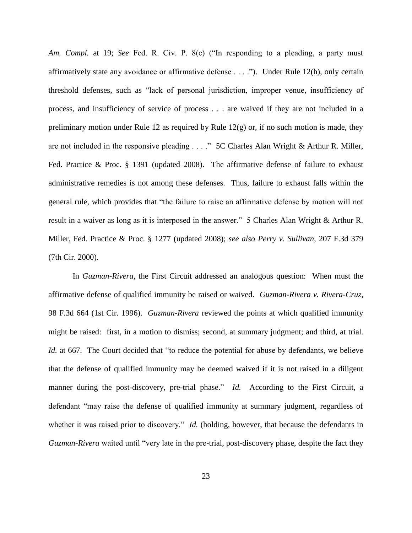*Am. Compl.* at 19; *See* Fed. R. Civ. P. 8(c) ("In responding to a pleading, a party must affirmatively state any avoidance or affirmative defense . . . ."). Under Rule 12(h), only certain threshold defenses, such as "lack of personal jurisdiction, improper venue, insufficiency of process, and insufficiency of service of process . . . are waived if they are not included in a preliminary motion under Rule 12 as required by Rule  $12(g)$  or, if no such motion is made, they are not included in the responsive pleading . . . ." 5C Charles Alan Wright & Arthur R. Miller, Fed. Practice & Proc. § 1391 (updated 2008). The affirmative defense of failure to exhaust administrative remedies is not among these defenses. Thus, failure to exhaust falls within the general rule, which provides that "the failure to raise an affirmative defense by motion will not result in a waiver as long as it is interposed in the answer." 5 Charles Alan Wright & Arthur R. Miller, Fed. Practice & Proc. § 1277 (updated 2008); *see also Perry v. Sullivan*, 207 F.3d 379 (7th Cir. 2000).

In *Guzman-Rivera*, the First Circuit addressed an analogous question: When must the affirmative defense of qualified immunity be raised or waived. *Guzman-Rivera v. Rivera-Cruz*, 98 F.3d 664 (1st Cir. 1996). *Guzman-Rivera* reviewed the points at which qualified immunity might be raised: first, in a motion to dismiss; second, at summary judgment; and third, at trial. *Id.* at 667. The Court decided that "to reduce the potential for abuse by defendants, we believe that the defense of qualified immunity may be deemed waived if it is not raised in a diligent manner during the post-discovery, pre-trial phase." *Id.* According to the First Circuit, a defendant "may raise the defense of qualified immunity at summary judgment, regardless of whether it was raised prior to discovery." *Id.* (holding, however, that because the defendants in *Guzman-Rivera* waited until "very late in the pre-trial, post-discovery phase, despite the fact they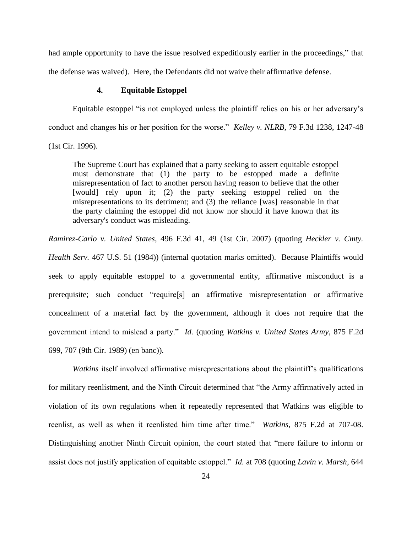had ample opportunity to have the issue resolved expeditiously earlier in the proceedings," that the defense was waived). Here, the Defendants did not waive their affirmative defense.

## **4. Equitable Estoppel**

Equitable estoppel "is not employed unless the plaintiff relies on his or her adversary"s conduct and changes his or her position for the worse." *Kelley v. NLRB*, 79 F.3d 1238, 1247-48 (1st Cir. 1996).

The Supreme Court has explained that a party seeking to assert equitable estoppel must demonstrate that (1) the party to be estopped made a definite misrepresentation of fact to another person having reason to believe that the other [would] rely upon it; (2) the party seeking estoppel relied on the misrepresentations to its detriment; and (3) the reliance [was] reasonable in that the party claiming the estoppel did not know nor should it have known that its adversary's conduct was misleading.

*Ramirez-Carlo v. United States*, 496 F.3d 41, 49 (1st Cir. 2007) (quoting *Heckler v. Cmty.*

*Health Serv.* 467 U.S. 51 (1984)) (internal quotation marks omitted). Because Plaintiffs would seek to apply equitable estoppel to a governmental entity, affirmative misconduct is a prerequisite; such conduct "require[s] an affirmative misrepresentation or affirmative concealment of a material fact by the government, although it does not require that the government intend to mislead a party." *Id.* (quoting *Watkins v. United States Army*, 875 F.2d 699, 707 (9th Cir. 1989) (en banc)).

*Watkins* itself involved affirmative misrepresentations about the plaintiff's qualifications for military reenlistment, and the Ninth Circuit determined that "the Army affirmatively acted in violation of its own regulations when it repeatedly represented that Watkins was eligible to reenlist, as well as when it reenlisted him time after time." *Watkins*, 875 F.2d at 707-08. Distinguishing another Ninth Circuit opinion, the court stated that "mere failure to inform or assist does not justify application of equitable estoppel." *Id.* at 708 (quoting *Lavin v. Marsh*, 644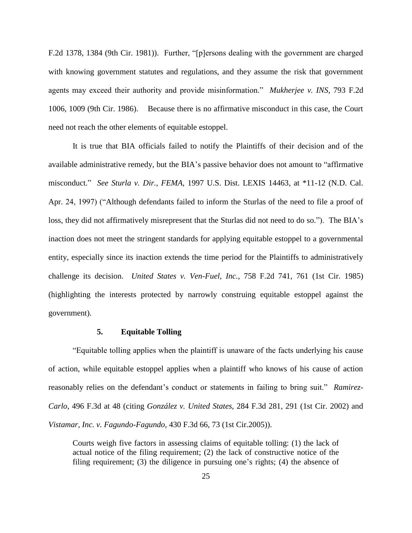F.2d 1378, 1384 (9th Cir. 1981)). Further, "[p]ersons dealing with the government are charged with knowing government statutes and regulations, and they assume the risk that government agents may exceed their authority and provide misinformation." *Mukherjee v. INS*, 793 F.2d 1006, 1009 (9th Cir. 1986). Because there is no affirmative misconduct in this case, the Court need not reach the other elements of equitable estoppel.

It is true that BIA officials failed to notify the Plaintiffs of their decision and of the available administrative remedy, but the BIA"s passive behavior does not amount to "affirmative misconduct." *See Sturla v. Dir., FEMA*, 1997 U.S. Dist. LEXIS 14463, at \*11-12 (N.D. Cal. Apr. 24, 1997) ("Although defendants failed to inform the Sturlas of the need to file a proof of loss, they did not affirmatively misrepresent that the Sturlas did not need to do so."). The BIA"s inaction does not meet the stringent standards for applying equitable estoppel to a governmental entity, especially since its inaction extends the time period for the Plaintiffs to administratively challenge its decision. *United States v. Ven-Fuel, Inc.*, 758 F.2d 741, 761 (1st Cir. 1985) (highlighting the interests protected by narrowly construing equitable estoppel against the government).

#### **5. Equitable Tolling**

"Equitable tolling applies when the plaintiff is unaware of the facts underlying his cause of action, while equitable estoppel applies when a plaintiff who knows of his cause of action reasonably relies on the defendant's conduct or statements in failing to bring suit." *Ramirez*-*Carlo*, 496 F.3d at 48 (citing *González v. United States,* 284 F.3d 281, 291 (1st Cir. 2002) and *Vistamar, Inc. v. Fagundo-Fagundo,* 430 F.3d 66, 73 (1st Cir.2005)).

Courts weigh five factors in assessing claims of equitable tolling: (1) the lack of actual notice of the filing requirement; (2) the lack of constructive notice of the filing requirement; (3) the diligence in pursuing one's rights; (4) the absence of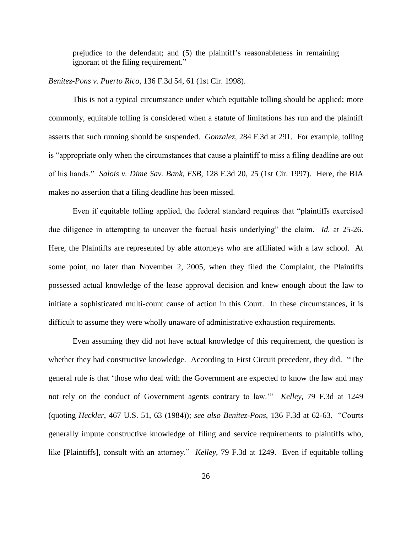prejudice to the defendant; and (5) the plaintiff"s reasonableness in remaining ignorant of the filing requirement."

*Benitez-Pons v. Puerto Rico*, 136 F.3d 54, 61 (1st Cir. 1998).

This is not a typical circumstance under which equitable tolling should be applied; more commonly, equitable tolling is considered when a statute of limitations has run and the plaintiff asserts that such running should be suspended. *Gonzalez*, 284 F.3d at 291. For example, tolling is "appropriate only when the circumstances that cause a plaintiff to miss a filing deadline are out of his hands." *Salois v. Dime Sav. Bank, FSB*, 128 F.3d 20, 25 (1st Cir. 1997). Here, the BIA makes no assertion that a filing deadline has been missed.

Even if equitable tolling applied, the federal standard requires that "plaintiffs exercised due diligence in attempting to uncover the factual basis underlying" the claim. *Id.* at 25-26. Here, the Plaintiffs are represented by able attorneys who are affiliated with a law school. At some point, no later than November 2, 2005, when they filed the Complaint, the Plaintiffs possessed actual knowledge of the lease approval decision and knew enough about the law to initiate a sophisticated multi-count cause of action in this Court. In these circumstances, it is difficult to assume they were wholly unaware of administrative exhaustion requirements.

Even assuming they did not have actual knowledge of this requirement, the question is whether they had constructive knowledge. According to First Circuit precedent, they did. "The general rule is that "those who deal with the Government are expected to know the law and may not rely on the conduct of Government agents contrary to law."" *Kelley*, 79 F.3d at 1249 (quoting *Heckler*, 467 U.S. 51, 63 (1984)); *see also Benitez-Pons*, 136 F.3d at 62-63. "Courts generally impute constructive knowledge of filing and service requirements to plaintiffs who, like [Plaintiffs], consult with an attorney." *Kelley*, 79 F.3d at 1249. Even if equitable tolling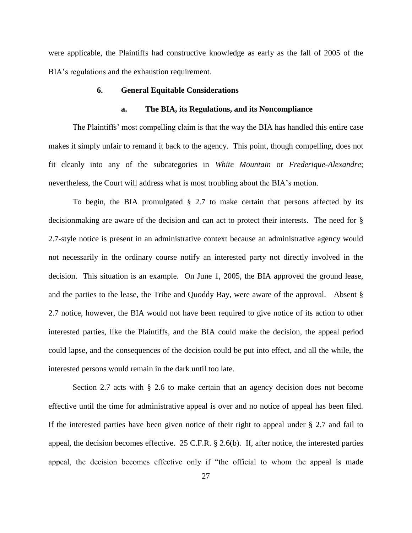were applicable, the Plaintiffs had constructive knowledge as early as the fall of 2005 of the BIA's regulations and the exhaustion requirement.

#### **6. General Equitable Considerations**

#### **a. The BIA, its Regulations, and its Noncompliance**

The Plaintiffs" most compelling claim is that the way the BIA has handled this entire case makes it simply unfair to remand it back to the agency. This point, though compelling, does not fit cleanly into any of the subcategories in *White Mountain* or *Frederique-Alexandre*; nevertheless, the Court will address what is most troubling about the BIA"s motion.

To begin, the BIA promulgated  $\S$  2.7 to make certain that persons affected by its decisionmaking are aware of the decision and can act to protect their interests. The need for § 2.7-style notice is present in an administrative context because an administrative agency would not necessarily in the ordinary course notify an interested party not directly involved in the decision. This situation is an example. On June 1, 2005, the BIA approved the ground lease, and the parties to the lease, the Tribe and Quoddy Bay, were aware of the approval. Absent § 2.7 notice, however, the BIA would not have been required to give notice of its action to other interested parties, like the Plaintiffs, and the BIA could make the decision, the appeal period could lapse, and the consequences of the decision could be put into effect, and all the while, the interested persons would remain in the dark until too late.

Section 2.7 acts with § 2.6 to make certain that an agency decision does not become effective until the time for administrative appeal is over and no notice of appeal has been filed. If the interested parties have been given notice of their right to appeal under § 2.7 and fail to appeal, the decision becomes effective. 25 C.F.R. § 2.6(b). If, after notice, the interested parties appeal, the decision becomes effective only if "the official to whom the appeal is made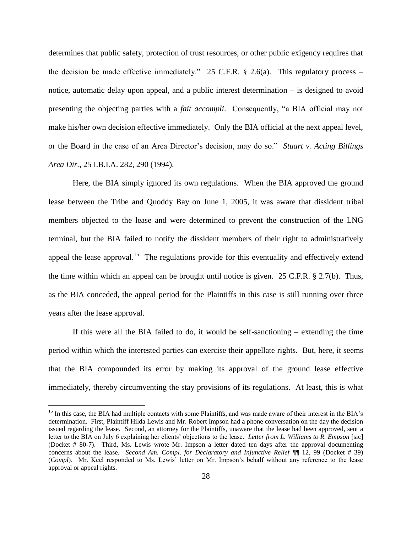determines that public safety, protection of trust resources, or other public exigency requires that the decision be made effective immediately." 25 C.F.R.  $\S$  2.6(a). This regulatory process – notice, automatic delay upon appeal, and a public interest determination – is designed to avoid presenting the objecting parties with a *fait accompli*. Consequently, "a BIA official may not make his/her own decision effective immediately. Only the BIA official at the next appeal level, or the Board in the case of an Area Director"s decision, may do so." *Stuart v. Acting Billings Area Dir.*, 25 I.B.I.A. 282, 290 (1994).

Here, the BIA simply ignored its own regulations. When the BIA approved the ground lease between the Tribe and Quoddy Bay on June 1, 2005, it was aware that dissident tribal members objected to the lease and were determined to prevent the construction of the LNG terminal, but the BIA failed to notify the dissident members of their right to administratively appeal the lease approval.<sup>15</sup> The regulations provide for this eventuality and effectively extend the time within which an appeal can be brought until notice is given. 25 C.F.R. § 2.7(b). Thus, as the BIA conceded, the appeal period for the Plaintiffs in this case is still running over three years after the lease approval.

If this were all the BIA failed to do, it would be self-sanctioning – extending the time period within which the interested parties can exercise their appellate rights. But, here, it seems that the BIA compounded its error by making its approval of the ground lease effective immediately, thereby circumventing the stay provisions of its regulations. At least, this is what

 $\overline{a}$ 

<sup>&</sup>lt;sup>15</sup> In this case, the BIA had multiple contacts with some Plaintiffs, and was made aware of their interest in the BIA's determination. First, Plaintiff Hilda Lewis and Mr. Robert Impson had a phone conversation on the day the decision issued regarding the lease. Second, an attorney for the Plaintiffs, unaware that the lease had been approved, sent a letter to the BIA on July 6 explaining her clients" objections to the lease. *Letter from L. Williams to R. Empson* [sic] (Docket # 80-7). Third, Ms. Lewis wrote Mr. Impson a letter dated ten days after the approval documenting concerns about the lease. *Second Am. Compl. for Declaratory and Injunctive Relief ¶*¶ 12, 99 (Docket # 39) (*Compl*). Mr. Keel responded to Ms. Lewis" letter on Mr. Impson"s behalf without any reference to the lease approval or appeal rights.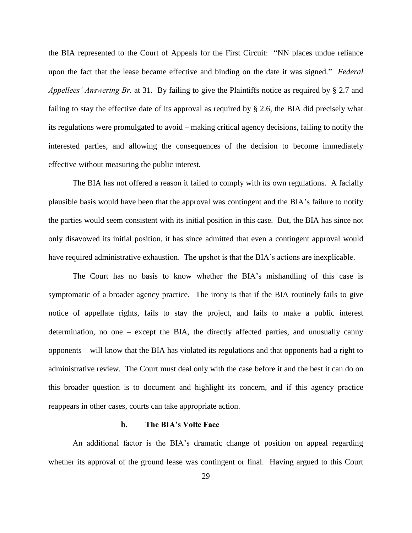the BIA represented to the Court of Appeals for the First Circuit: "NN places undue reliance upon the fact that the lease became effective and binding on the date it was signed." *Federal Appellees' Answering Br.* at 31. By failing to give the Plaintiffs notice as required by § 2.7 and failing to stay the effective date of its approval as required by § 2.6, the BIA did precisely what its regulations were promulgated to avoid – making critical agency decisions, failing to notify the interested parties, and allowing the consequences of the decision to become immediately effective without measuring the public interest.

The BIA has not offered a reason it failed to comply with its own regulations. A facially plausible basis would have been that the approval was contingent and the BIA"s failure to notify the parties would seem consistent with its initial position in this case. But, the BIA has since not only disavowed its initial position, it has since admitted that even a contingent approval would have required administrative exhaustion. The upshot is that the BIA's actions are inexplicable.

The Court has no basis to know whether the BIA's mishandling of this case is symptomatic of a broader agency practice. The irony is that if the BIA routinely fails to give notice of appellate rights, fails to stay the project, and fails to make a public interest determination, no one – except the BIA, the directly affected parties, and unusually canny opponents – will know that the BIA has violated its regulations and that opponents had a right to administrative review. The Court must deal only with the case before it and the best it can do on this broader question is to document and highlight its concern, and if this agency practice reappears in other cases, courts can take appropriate action.

#### **b. The BIA's Volte Face**

An additional factor is the BIA"s dramatic change of position on appeal regarding whether its approval of the ground lease was contingent or final. Having argued to this Court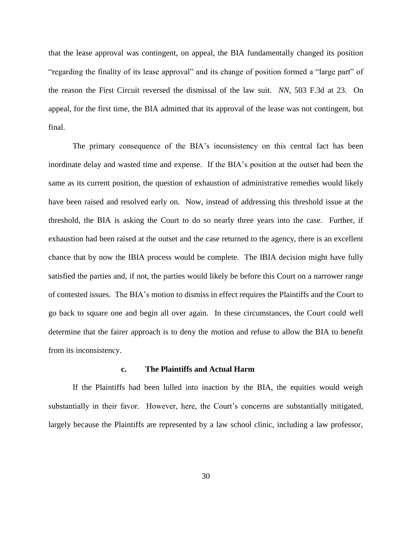that the lease approval was contingent, on appeal, the BIA fundamentally changed its position "regarding the finality of its lease approval" and its change of position formed a "large part" of the reason the First Circuit reversed the dismissal of the law suit. *NN*, 503 F.3d at 23. On appeal, for the first time, the BIA admitted that its approval of the lease was not contingent, but final.

The primary consequence of the BIA"s inconsistency on this central fact has been inordinate delay and wasted time and expense. If the BIA"s position at the outset had been the same as its current position, the question of exhaustion of administrative remedies would likely have been raised and resolved early on. Now, instead of addressing this threshold issue at the threshold, the BIA is asking the Court to do so nearly three years into the case. Further, if exhaustion had been raised at the outset and the case returned to the agency, there is an excellent chance that by now the IBIA process would be complete. The IBIA decision might have fully satisfied the parties and, if not, the parties would likely be before this Court on a narrower range of contested issues. The BIA"s motion to dismiss in effect requires the Plaintiffs and the Court to go back to square one and begin all over again. In these circumstances, the Court could well determine that the fairer approach is to deny the motion and refuse to allow the BIA to benefit from its inconsistency.

#### **c. The Plaintiffs and Actual Harm**

If the Plaintiffs had been lulled into inaction by the BIA, the equities would weigh substantially in their favor. However, here, the Court's concerns are substantially mitigated, largely because the Plaintiffs are represented by a law school clinic, including a law professor,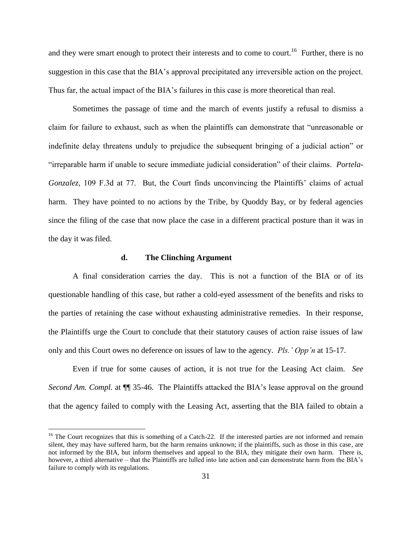and they were smart enough to protect their interests and to come to court.<sup>16</sup> Further, there is no suggestion in this case that the BIA"s approval precipitated any irreversible action on the project. Thus far, the actual impact of the BIA"s failures in this case is more theoretical than real.

Sometimes the passage of time and the march of events justify a refusal to dismiss a claim for failure to exhaust, such as when the plaintiffs can demonstrate that "unreasonable or indefinite delay threatens unduly to prejudice the subsequent bringing of a judicial action" or "irreparable harm if unable to secure immediate judicial consideration" of their claims. *Portela-Gonzalez*, 109 F.3d at 77. But, the Court finds unconvincing the Plaintiffs' claims of actual harm. They have pointed to no actions by the Tribe, by Quoddy Bay, or by federal agencies since the filing of the case that now place the case in a different practical posture than it was in the day it was filed.

#### **d. The Clinching Argument**

 $\overline{a}$ 

A final consideration carries the day. This is not a function of the BIA or of its questionable handling of this case, but rather a cold-eyed assessment of the benefits and risks to the parties of retaining the case without exhausting administrative remedies. In their response, the Plaintiffs urge the Court to conclude that their statutory causes of action raise issues of law only and this Court owes no deference on issues of law to the agency. *Pls.' Opp'n* at 15-17.

Even if true for some causes of action, it is not true for the Leasing Act claim. *See Second Am. Compl.* at  $\P$  35-46. The Plaintiffs attacked the BIA's lease approval on the ground that the agency failed to comply with the Leasing Act, asserting that the BIA failed to obtain a

 $16$  The Court recognizes that this is something of a Catch-22. If the interested parties are not informed and remain silent, they may have suffered harm, but the harm remains unknown; if the plaintiffs, such as those in this case, are not informed by the BIA, but inform themselves and appeal to the BIA, they mitigate their own harm. There is, however, a third alternative – that the Plaintiffs are lulled into late action and can demonstrate harm from the BIA's failure to comply with its regulations.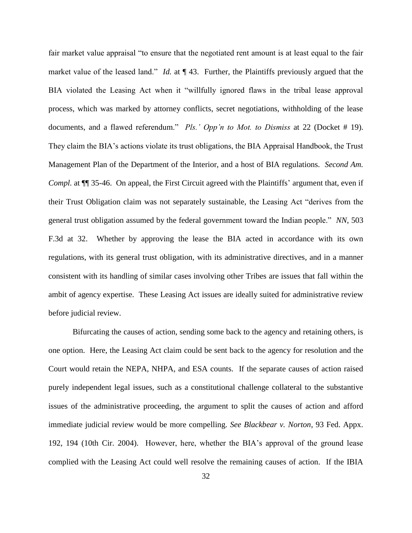fair market value appraisal "to ensure that the negotiated rent amount is at least equal to the fair market value of the leased land." *Id.* at  $\P$  43. Further, the Plaintiffs previously argued that the BIA violated the Leasing Act when it "willfully ignored flaws in the tribal lease approval process, which was marked by attorney conflicts, secret negotiations, withholding of the lease documents, and a flawed referendum." *Pls.' Opp'n to Mot. to Dismiss* at 22 (Docket # 19). They claim the BIA"s actions violate its trust obligations, the BIA Appraisal Handbook, the Trust Management Plan of the Department of the Interior, and a host of BIA regulations. *Second Am. Compl.* at  $\P$  35-46. On appeal, the First Circuit agreed with the Plaintiffs' argument that, even if their Trust Obligation claim was not separately sustainable, the Leasing Act "derives from the general trust obligation assumed by the federal government toward the Indian people." *NN*, 503 F.3d at 32. Whether by approving the lease the BIA acted in accordance with its own regulations, with its general trust obligation, with its administrative directives, and in a manner consistent with its handling of similar cases involving other Tribes are issues that fall within the ambit of agency expertise. These Leasing Act issues are ideally suited for administrative review before judicial review.

Bifurcating the causes of action, sending some back to the agency and retaining others, is one option. Here, the Leasing Act claim could be sent back to the agency for resolution and the Court would retain the NEPA, NHPA, and ESA counts. If the separate causes of action raised purely independent legal issues, such as a constitutional challenge collateral to the substantive issues of the administrative proceeding, the argument to split the causes of action and afford immediate judicial review would be more compelling. *See Blackbear v. Norton*, 93 Fed. Appx. 192, 194 (10th Cir. 2004). However, here, whether the BIA"s approval of the ground lease complied with the Leasing Act could well resolve the remaining causes of action. If the IBIA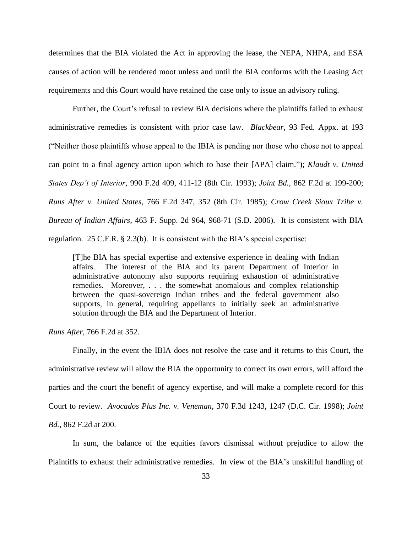determines that the BIA violated the Act in approving the lease, the NEPA, NHPA, and ESA causes of action will be rendered moot unless and until the BIA conforms with the Leasing Act requirements and this Court would have retained the case only to issue an advisory ruling.

Further, the Court's refusal to review BIA decisions where the plaintiffs failed to exhaust administrative remedies is consistent with prior case law. *Blackbear*, 93 Fed. Appx. at 193 ("Neither those plaintiffs whose appeal to the IBIA is pending nor those who chose not to appeal can point to a final agency action upon which to base their [APA] claim."); *Klaudt v. United States Dep't of Interior*, 990 F.2d 409, 411-12 (8th Cir. 1993); *Joint Bd.*, 862 F.2d at 199-200; *Runs After v. United States*, 766 F.2d 347, 352 (8th Cir. 1985); *Crow Creek Sioux Tribe v. Bureau of Indian Affairs*, 463 F. Supp. 2d 964, 968-71 (S.D. 2006). It is consistent with BIA regulation. 25 C.F.R. § 2.3(b). It is consistent with the BIA"s special expertise:

[T]he BIA has special expertise and extensive experience in dealing with Indian affairs. The interest of the BIA and its parent Department of Interior in administrative autonomy also supports requiring exhaustion of administrative remedies. Moreover, . . . the somewhat anomalous and complex relationship between the quasi-sovereign Indian tribes and the federal government also supports, in general, requiring appellants to initially seek an administrative solution through the BIA and the Department of Interior.

*Runs After*, 766 F.2d at 352.

Finally, in the event the IBIA does not resolve the case and it returns to this Court, the administrative review will allow the BIA the opportunity to correct its own errors, will afford the parties and the court the benefit of agency expertise, and will make a complete record for this Court to review. *Avocados Plus Inc. v. Veneman*, 370 F.3d 1243, 1247 (D.C. Cir. 1998); *Joint Bd.*, 862 F.2d at 200.

In sum, the balance of the equities favors dismissal without prejudice to allow the Plaintiffs to exhaust their administrative remedies. In view of the BIA"s unskillful handling of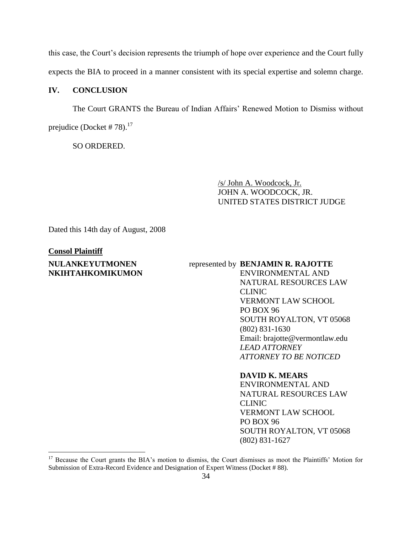this case, the Court"s decision represents the triumph of hope over experience and the Court fully expects the BIA to proceed in a manner consistent with its special expertise and solemn charge.

## **IV. CONCLUSION**

The Court GRANTS the Bureau of Indian Affairs" Renewed Motion to Dismiss without prejudice (Docket # 78). $^{17}$ 

SO ORDERED.

/s/ John A. Woodcock, Jr. JOHN A. WOODCOCK, JR. UNITED STATES DISTRICT JUDGE

Dated this 14th day of August, 2008

### **Consol Plaintiff**

 $\overline{a}$ 

## **NULANKEYUTMONEN NKIHTAHKOMIKUMON**

## represented by **BENJAMIN R. RAJOTTE**

ENVIRONMENTAL AND NATURAL RESOURCES LAW CLINIC VERMONT LAW SCHOOL PO BOX 96 SOUTH ROYALTON, VT 05068 (802) 831-1630 Email: brajotte@vermontlaw.edu *LEAD ATTORNEY ATTORNEY TO BE NOTICED*

**DAVID K. MEARS**

ENVIRONMENTAL AND NATURAL RESOURCES LAW CLINIC VERMONT LAW SCHOOL PO BOX 96 SOUTH ROYALTON, VT 05068 (802) 831-1627

<sup>&</sup>lt;sup>17</sup> Because the Court grants the BIA's motion to dismiss, the Court dismisses as moot the Plaintiffs' Motion for Submission of Extra-Record Evidence and Designation of Expert Witness (Docket # 88).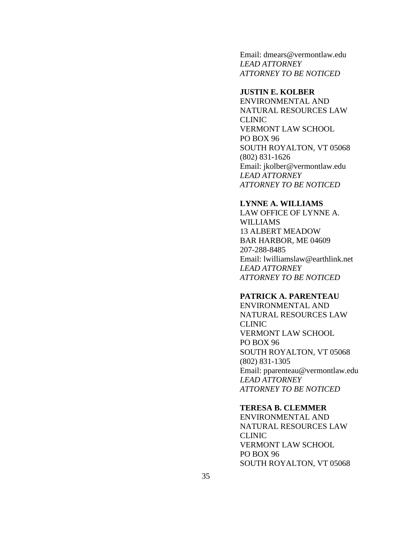Email: dmears@vermontlaw.edu *LEAD ATTORNEY ATTORNEY TO BE NOTICED*

## **JUSTIN E. KOLBER**

ENVIRONMENTAL AND NATURAL RESOURCES LAW CLINIC VERMONT LAW SCHOOL PO BOX 96 SOUTH ROYALTON, VT 05068 (802) 831-1626 Email: jkolber@vermontlaw.edu *LEAD ATTORNEY ATTORNEY TO BE NOTICED*

## **LYNNE A. WILLIAMS**

LAW OFFICE OF LYNNE A. WILLIAMS 13 ALBERT MEADOW BAR HARBOR, ME 04609 207-288-8485 Email: lwilliamslaw@earthlink.net *LEAD ATTORNEY ATTORNEY TO BE NOTICED*

## **PATRICK A. PARENTEAU**

ENVIRONMENTAL AND NATURAL RESOURCES LAW CLINIC VERMONT LAW SCHOOL PO BOX 96 SOUTH ROYALTON, VT 05068 (802) 831-1305 Email: pparenteau@vermontlaw.edu *LEAD ATTORNEY ATTORNEY TO BE NOTICED*

#### **TERESA B. CLEMMER**

ENVIRONMENTAL AND NATURAL RESOURCES LAW CLINIC VERMONT LAW SCHOOL PO BOX 96 SOUTH ROYALTON, VT 05068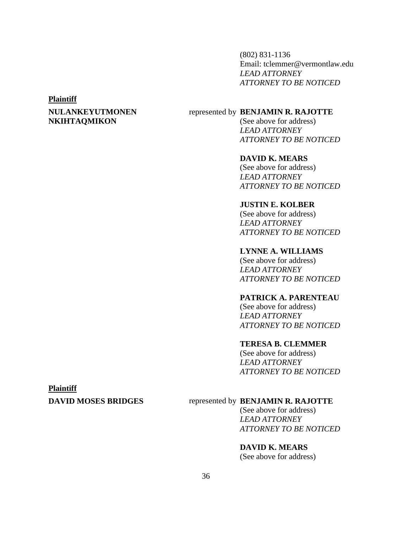(802) 831-1136 Email: tclemmer@vermontlaw.edu *LEAD ATTORNEY ATTORNEY TO BE NOTICED*

#### **Plaintiff**

## **NULANKEYUTMONEN NKIHTAQMIKON**

## represented by **BENJAMIN R. RAJOTTE**

(See above for address) *LEAD ATTORNEY ATTORNEY TO BE NOTICED*

## **DAVID K. MEARS**

(See above for address) *LEAD ATTORNEY ATTORNEY TO BE NOTICED*

## **JUSTIN E. KOLBER**

(See above for address) *LEAD ATTORNEY ATTORNEY TO BE NOTICED*

## **LYNNE A. WILLIAMS**

(See above for address) *LEAD ATTORNEY ATTORNEY TO BE NOTICED*

## **PATRICK A. PARENTEAU**

(See above for address) *LEAD ATTORNEY ATTORNEY TO BE NOTICED*

## **TERESA B. CLEMMER**

(See above for address) *LEAD ATTORNEY ATTORNEY TO BE NOTICED*

### **Plaintiff**

## **DAVID MOSES BRIDGES** represented by **BENJAMIN R. RAJOTTE**

(See above for address) *LEAD ATTORNEY ATTORNEY TO BE NOTICED*

## **DAVID K. MEARS**

(See above for address)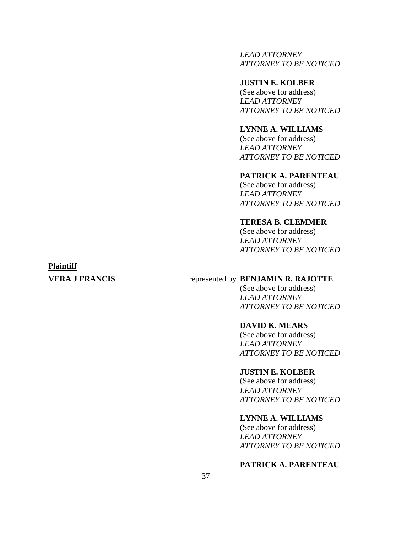*LEAD ATTORNEY ATTORNEY TO BE NOTICED*

## **JUSTIN E. KOLBER**

(See above for address) *LEAD ATTORNEY ATTORNEY TO BE NOTICED*

## **LYNNE A. WILLIAMS**

(See above for address) *LEAD ATTORNEY ATTORNEY TO BE NOTICED*

## **PATRICK A. PARENTEAU**

(See above for address) *LEAD ATTORNEY ATTORNEY TO BE NOTICED*

## **TERESA B. CLEMMER**

(See above for address) *LEAD ATTORNEY ATTORNEY TO BE NOTICED*

## **Plaintiff**

## **VERA J FRANCIS** represented by **BENJAMIN R. RAJOTTE**

(See above for address) *LEAD ATTORNEY ATTORNEY TO BE NOTICED*

#### **DAVID K. MEARS**

(See above for address) *LEAD ATTORNEY ATTORNEY TO BE NOTICED*

#### **JUSTIN E. KOLBER**

(See above for address) *LEAD ATTORNEY ATTORNEY TO BE NOTICED*

## **LYNNE A. WILLIAMS**

(See above for address) *LEAD ATTORNEY ATTORNEY TO BE NOTICED*

## **PATRICK A. PARENTEAU**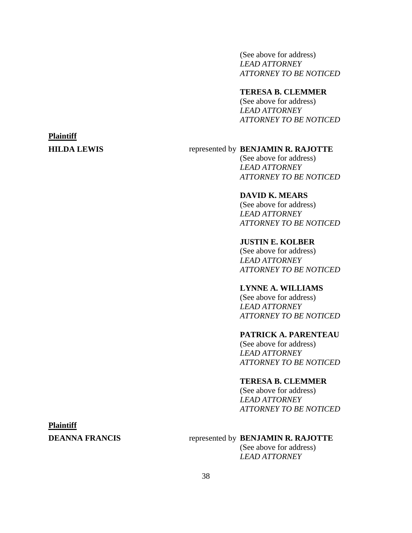(See above for address) *LEAD ATTORNEY ATTORNEY TO BE NOTICED*

#### **TERESA B. CLEMMER**

(See above for address) *LEAD ATTORNEY ATTORNEY TO BE NOTICED*

## **Plaintiff**

## **HILDA LEWIS** represented by **BENJAMIN R. RAJOTTE**

(See above for address) *LEAD ATTORNEY ATTORNEY TO BE NOTICED*

## **DAVID K. MEARS**

(See above for address) *LEAD ATTORNEY ATTORNEY TO BE NOTICED*

## **JUSTIN E. KOLBER**

(See above for address) *LEAD ATTORNEY ATTORNEY TO BE NOTICED*

## **LYNNE A. WILLIAMS**

(See above for address) *LEAD ATTORNEY ATTORNEY TO BE NOTICED*

## **PATRICK A. PARENTEAU**

(See above for address) *LEAD ATTORNEY ATTORNEY TO BE NOTICED*

## **TERESA B. CLEMMER**

(See above for address) *LEAD ATTORNEY ATTORNEY TO BE NOTICED*

### **Plaintiff**

## **DEANNA FRANCIS** represented by **BENJAMIN R. RAJOTTE**

(See above for address) *LEAD ATTORNEY*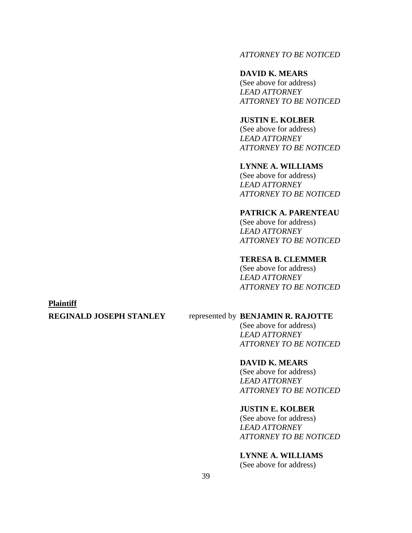## *ATTORNEY TO BE NOTICED*

### **DAVID K. MEARS**

(See above for address) *LEAD ATTORNEY ATTORNEY TO BE NOTICED*

## **JUSTIN E. KOLBER**

(See above for address) *LEAD ATTORNEY ATTORNEY TO BE NOTICED*

## **LYNNE A. WILLIAMS**

(See above for address) *LEAD ATTORNEY ATTORNEY TO BE NOTICED*

## **PATRICK A. PARENTEAU**

(See above for address) *LEAD ATTORNEY ATTORNEY TO BE NOTICED*

## **TERESA B. CLEMMER**

(See above for address) *LEAD ATTORNEY ATTORNEY TO BE NOTICED*

### **Plaintiff**

## **REGINALD JOSEPH STANLEY** represented by **BENJAMIN R. RAJOTTE**

(See above for address) *LEAD ATTORNEY ATTORNEY TO BE NOTICED*

## **DAVID K. MEARS**

(See above for address) *LEAD ATTORNEY ATTORNEY TO BE NOTICED*

#### **JUSTIN E. KOLBER**

(See above for address) *LEAD ATTORNEY ATTORNEY TO BE NOTICED*

## **LYNNE A. WILLIAMS**

(See above for address)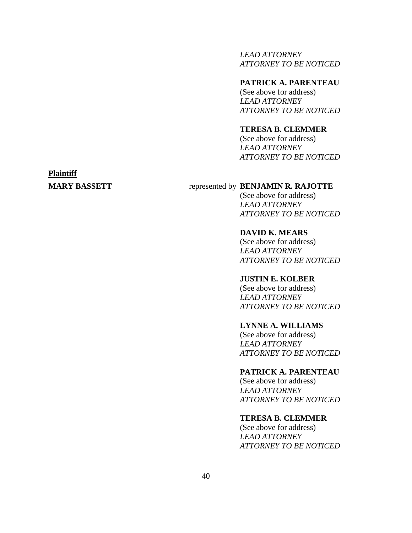*LEAD ATTORNEY ATTORNEY TO BE NOTICED*

## **PATRICK A. PARENTEAU**

(See above for address) *LEAD ATTORNEY ATTORNEY TO BE NOTICED*

### **TERESA B. CLEMMER**

(See above for address) *LEAD ATTORNEY ATTORNEY TO BE NOTICED*

# **Plaintiff**

## **MARY BASSETT** represented by **BENJAMIN R. RAJOTTE**

(See above for address) *LEAD ATTORNEY ATTORNEY TO BE NOTICED*

#### **DAVID K. MEARS**

(See above for address) *LEAD ATTORNEY ATTORNEY TO BE NOTICED*

## **JUSTIN E. KOLBER**

(See above for address) *LEAD ATTORNEY ATTORNEY TO BE NOTICED*

#### **LYNNE A. WILLIAMS**

(See above for address) *LEAD ATTORNEY ATTORNEY TO BE NOTICED*

### **PATRICK A. PARENTEAU**

(See above for address) *LEAD ATTORNEY ATTORNEY TO BE NOTICED*

## **TERESA B. CLEMMER**

(See above for address) *LEAD ATTORNEY ATTORNEY TO BE NOTICED*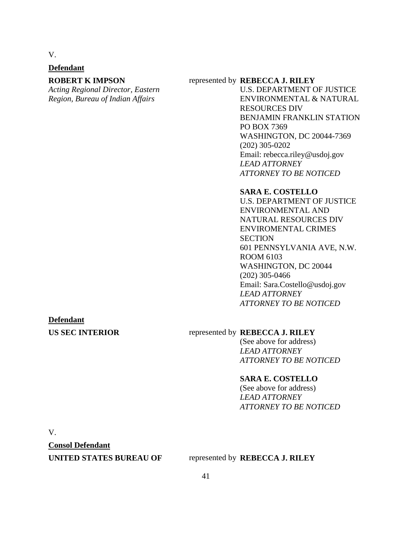V.

## **Defendant**

## **ROBERT K IMPSON**

*Acting Regional Director, Eastern Region, Bureau of Indian Affairs*

#### represented by **REBECCA J. RILEY**

U.S. DEPARTMENT OF JUSTICE ENVIRONMENTAL & NATURAL RESOURCES DIV BENJAMIN FRANKLIN STATION PO BOX 7369 WASHINGTON, DC 20044-7369 (202) 305-0202 Email: rebecca.riley@usdoj.gov *LEAD ATTORNEY ATTORNEY TO BE NOTICED*

#### **SARA E. COSTELLO**

U.S. DEPARTMENT OF JUSTICE ENVIRONMENTAL AND NATURAL RESOURCES DIV ENVIROMENTAL CRIMES **SECTION** 601 PENNSYLVANIA AVE, N.W. ROOM 6103 WASHINGTON, DC 20044 (202) 305-0466 Email: Sara.Costello@usdoj.gov *LEAD ATTORNEY ATTORNEY TO BE NOTICED*

#### **Defendant**

## **US SEC INTERIOR** represented by **REBECCA J. RILEY**

(See above for address) *LEAD ATTORNEY ATTORNEY TO BE NOTICED*

## **SARA E. COSTELLO**

(See above for address) *LEAD ATTORNEY ATTORNEY TO BE NOTICED*

V.

**Consol Defendant**

#### **UNITED STATES BUREAU OF** represented by **REBECCA J. RILEY**